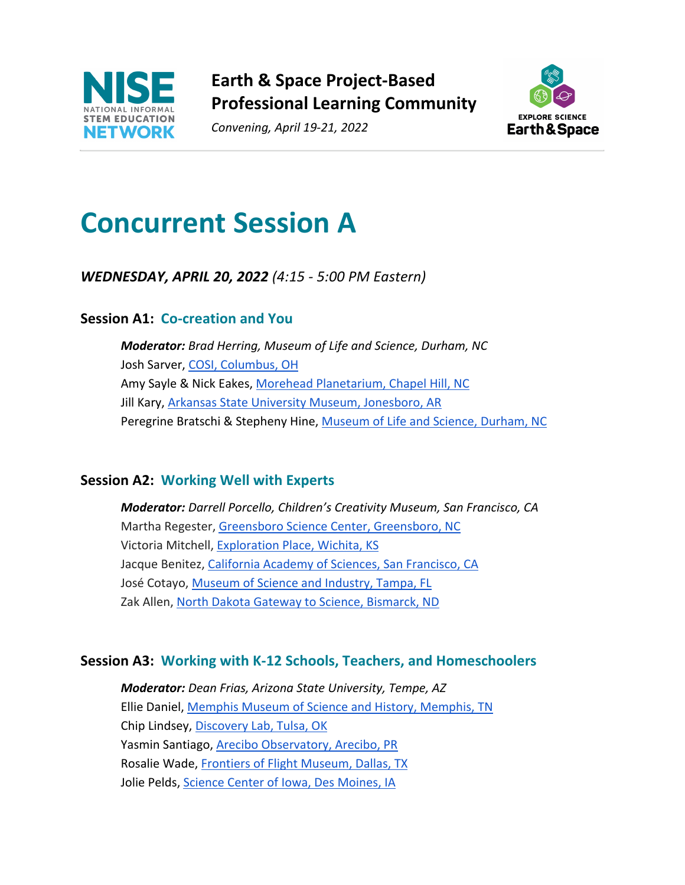

**Earth & Space Project-Based Professional Learning Community**

*Convening, April 19-21, 2022*



## **Concurrent Session A**

*WEDNESDAY, APRIL 20, 2022 (4:15 - 5:00 PM Eastern)*

#### **Session A1: Co-creation and You**

*Moderator: Brad Herring, Museum of Life and Science, Durham, NC* Josh Sarver, COSI, Columbus, OH Amy Sayle & Nick Eakes, Morehead Planetarium, Chapel Hill, NC Jill Kary, Arkansas State University Museum, Jonesboro, AR Peregrine Bratschi & Stepheny Hine, Museum of Life and Science, Durham, NC

#### **Session A2: Working Well with Experts**

*Moderator: Darrell Porcello, Children's Creativity Museum, San Francisco, CA* Martha Regester, Greensboro Science Center, Greensboro, NC Victoria Mitchell, Exploration Place, Wichita, KS Jacque Benitez, California Academy of Sciences, San Francisco, CA José Cotayo, Museum of Science and Industry, Tampa, FL Zak Allen, North Dakota Gateway to Science, Bismarck, ND

#### **Session A3: Working with K-12 Schools, Teachers, and Homeschoolers**

*Moderator: Dean Frias, Arizona State University, Tempe, AZ* Ellie Daniel, Memphis Museum of Science and History, Memphis, TN Chip Lindsey, Discovery Lab, Tulsa, OK Yasmin Santiago, Arecibo Observatory, Arecibo, PR Rosalie Wade, Frontiers of Flight Museum, Dallas, TX Jolie Pelds, Science Center of Iowa, Des Moines, IA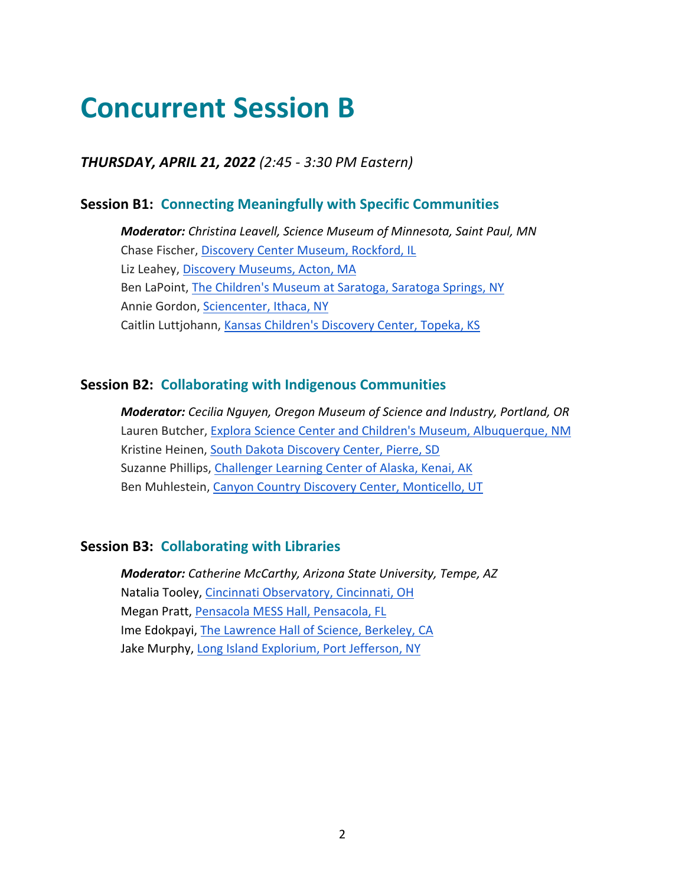### **Concurrent Session B**

*THURSDAY, APRIL 21, 2022 (2:45 - 3:30 PM Eastern)*

#### **Session B1: Connecting Meaningfully with Specific Communities**

*Moderator: Christina Leavell, Science Museum of Minnesota, Saint Paul, MN* Chase Fischer, Discovery Center Museum, Rockford, IL Liz Leahey, Discovery Museums, Acton, MA Ben LaPoint, The Children's Museum at Saratoga, Saratoga Springs, NY Annie Gordon, Sciencenter, Ithaca, NY Caitlin Luttjohann, Kansas Children's Discovery Center, Topeka, KS

#### **Session B2: Collaborating with Indigenous Communities**

*Moderator: Cecilia Nguyen, Oregon Museum of Science and Industry, Portland, OR* Lauren Butcher, Explora Science Center and Children's Museum, Albuquerque, NM Kristine Heinen, South Dakota Discovery Center, Pierre, SD Suzanne Phillips, Challenger Learning Center of Alaska, Kenai, AK Ben Muhlestein, Canyon Country Discovery Center, Monticello, UT

#### **Session B3: Collaborating with Libraries**

*Moderator: Catherine McCarthy, Arizona State University, Tempe, AZ* Natalia Tooley, Cincinnati Observatory, Cincinnati, OH Megan Pratt, Pensacola MESS Hall, Pensacola, FL Ime Edokpayi, The Lawrence Hall of Science, Berkeley, CA Jake Murphy, Long Island Explorium, Port Jefferson, NY